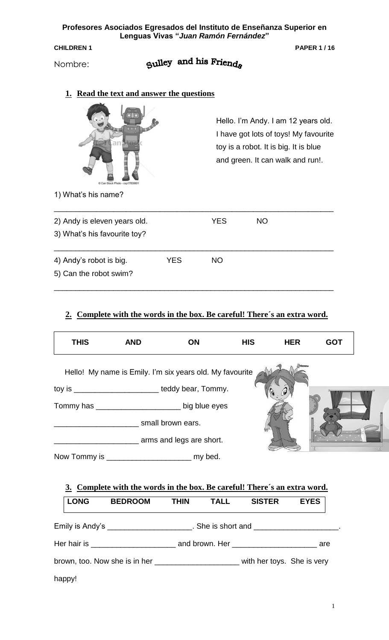**Profesores Asociados Egresados del Instituto de Enseñanza Superior en Lenguas Vivas "***Juan Ramón Fernández***"**

**CHILDREN 1 PAPER 1/16** 

Nombre:

# Sulley and his Friends

## **1. Read the text and answer the questions**



Hello. I'm Andy. I am 12 years old. I have got lots of toys! My favourite toy is a robot. It is big. It is blue and green. It can walk and run!.

1) What's his name?

| 2) Andy is eleven years old. |            | YES | NO. |
|------------------------------|------------|-----|-----|
| 3) What's his favourite toy? |            |     |     |
| 4) Andy's robot is big.      | <b>YES</b> | NO. |     |
| 5) Can the robot swim?       |            |     |     |

#### **2. Complete with the words in the box. Be careful! There´s an extra word.**

| <b>THIS</b>  | <b>AND</b>                                               | <b>ON</b>                | <b>HIS</b> | <b>HER</b> | <b>GOT</b> |
|--------------|----------------------------------------------------------|--------------------------|------------|------------|------------|
|              | Hello! My name is Emily. I'm six years old. My favourite |                          |            |            |            |
|              | toy is ________________________teddy bear, Tommy.        |                          |            |            |            |
|              |                                                          |                          |            |            |            |
|              |                                                          | small brown ears.        |            |            |            |
|              |                                                          | arms and legs are short. |            |            |            |
| Now Tommy is |                                                          | my bed.                  |            |            |            |

| 3. Complete with the words in the box. Be careful! There's an extra word. |                                                                                                |             |             |               |             |  |
|---------------------------------------------------------------------------|------------------------------------------------------------------------------------------------|-------------|-------------|---------------|-------------|--|
| <b>LONG</b>                                                               | <b>BEDROOM</b>                                                                                 | <b>THIN</b> | <b>TALL</b> | <b>SISTER</b> | <b>EYES</b> |  |
|                                                                           | Emily is Andy's ______________________. She is short and ______________________.               |             |             |               |             |  |
|                                                                           | Her hair is ________________________________ and brown. Her ______________________________ are |             |             |               |             |  |
|                                                                           | brown, too. Now she is in her __________________________ with her toys. She is very            |             |             |               |             |  |
| happy!                                                                    |                                                                                                |             |             |               |             |  |